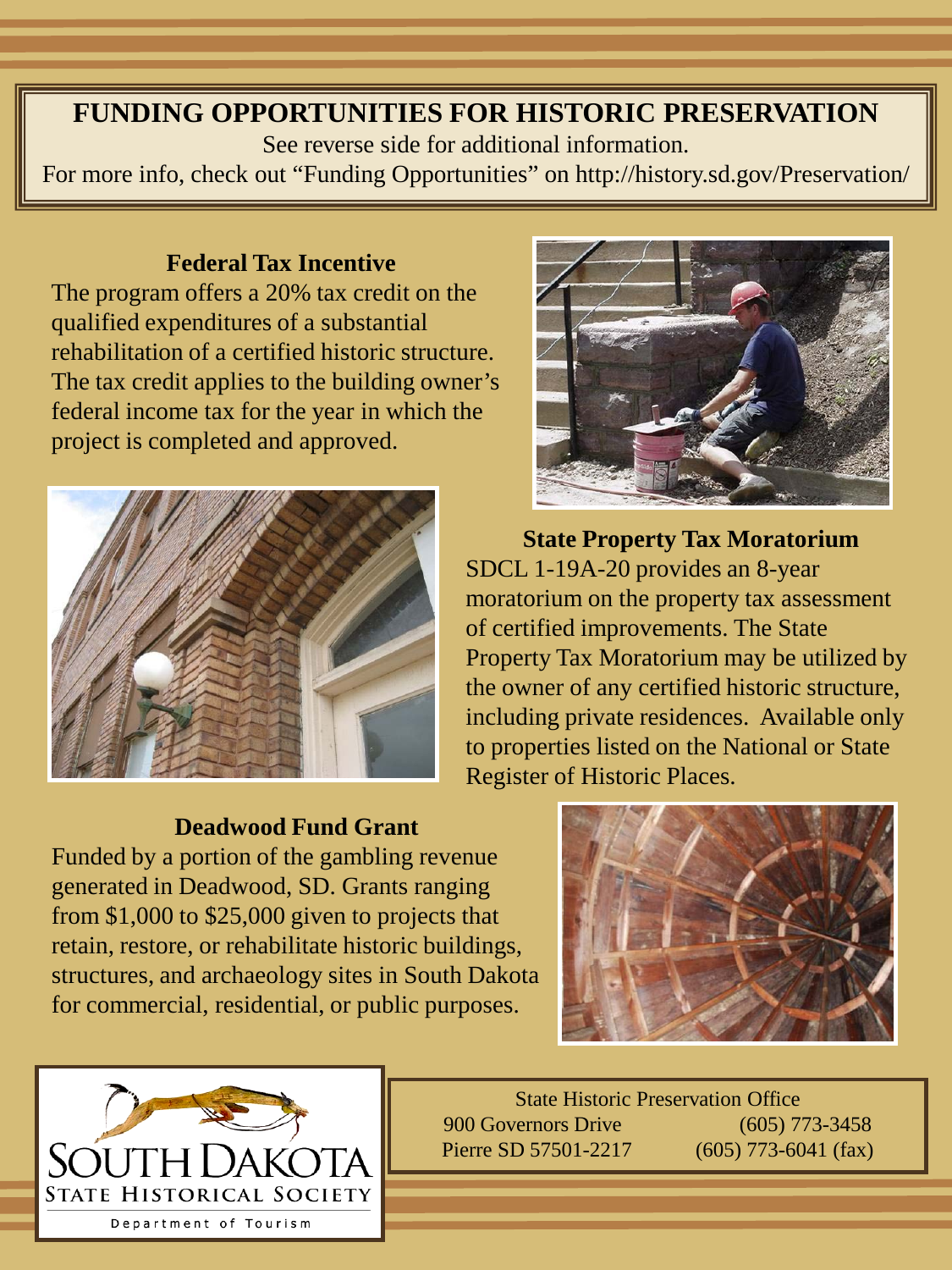# **FUNDING OPPORTUNITIES FOR HISTORIC PRESERVATION**

See reverse side for additional information.

For more info, check out "Funding Opportunities" on http://history.sd.gov/Preservation/

### **Federal Tax Incentive**

The program offers a 20% tax credit on the qualified expenditures of a substantial rehabilitation of a certified historic structure. The tax credit applies to the building owner's federal income tax for the year in which the project is completed and approved.

![](_page_0_Picture_5.jpeg)

![](_page_0_Picture_6.jpeg)

**State Property Tax Moratorium** SDCL 1-19A-20 provides an 8-year moratorium on the property tax assessment of certified improvements. The State Property Tax Moratorium may be utilized by the owner of any certified historic structure, including private residences. Available only to properties listed on the National or State Register of Historic Places.

### **Deadwood Fund Grant**

Funded by a portion of the gambling revenue generated in Deadwood, SD. Grants ranging from \$1,000 to \$25,000 given to projects that retain, restore, or rehabilitate historic buildings, structures, and archaeology sites in South Dakota for commercial, residential, or public purposes.

![](_page_0_Picture_10.jpeg)

State Historic Preservation Office 900 Governors Drive (605) 773-3458 Pierre SD 57501-2217 (605) 773-6041 (fax)

![](_page_0_Picture_12.jpeg)